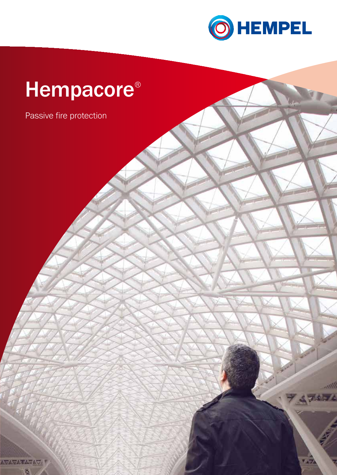

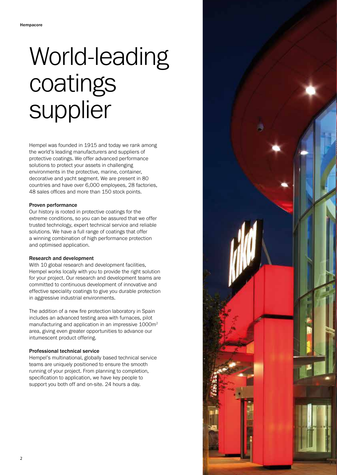# World-leading coatings supplier

Hempel was founded in 1915 and today we rank among the world's leading manufacturers and suppliers of protective coatings. We offer advanced performance solutions to protect your assets in challenging environments in the protective, marine, container, decorative and yacht segment. We are present in 80 countries and have over 6,000 employees, 28 factories, 48 sales offices and more than 150 stock points.

### Proven performance

Our history is rooted in protective coatings for the extreme conditions, so you can be assured that we offer trusted technology, expert technical service and reliable solutions. We have a full range of coatings that offer a winning combination of high performance protection and optimised application.

### **Research and development**

With 10 global research and development facilities. Hempel works locally with you to provide the right solution for your project. Our research and development teams are committed to continuous development of innovative and effective speciality coatings to give you durable protection in aggressive industrial environments.

The addition of a new fire protection laboratory in Spain includes an advanced testing area with furnaces, pilot manufacturing and application in an impressive 1000m<sup>2</sup> area, giving even greater opportunities to advance our intumescent product offering.

### **Professional technical service**

Hempel's multinational, globally based technical service teams are uniquely positioned to ensure the smooth running of your project. From planning to completion, specification to application, we have key people to support you both off and on-site. 24 hours a day.

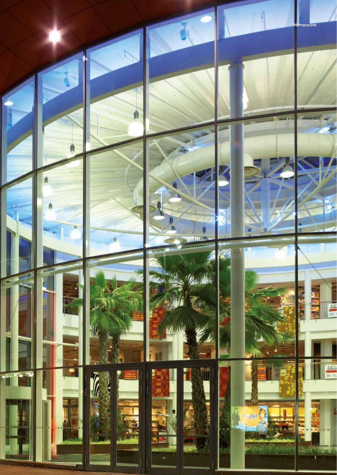![](_page_2_Picture_0.jpeg)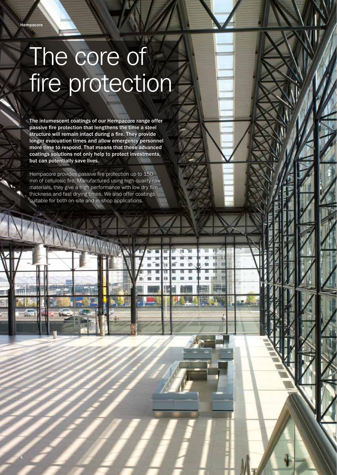# The core of fire protection

The intumescent coatings of our Hempacore range offer passive fire protection that lengthens the time a steel structure will remain intact during a fire. They provide longer evacuation times and allow emergency personnel more time to respond. That means that these advanced coatings solutions not only help to protect investments, but can potentially save lives.

Hempacore provides passive fire protection up to 150 min of cellulosic fire. Manufactured using high-quality raw materials, they give a high performance with low dry film thickness and fast drying times. We also offer coatings suitable for both on-site and in-shop applications.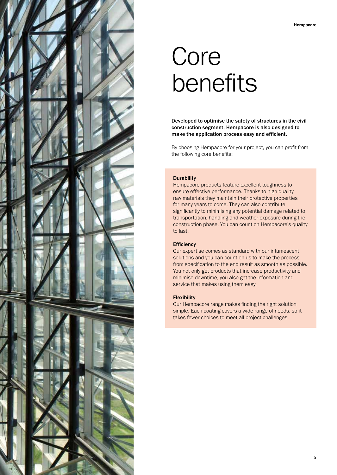![](_page_4_Picture_0.jpeg)

# Core benefits

Developed to optimise the safety of structures in the civil construction segment, Hempacore is also designed to make the application process easy and efficient.

By choosing Hempacore for your project, you can profit from the following core benefits:

### **Durability**

Hempacore products feature excellent toughness to ensure effective performance. Thanks to high quality raw materials they maintain their protective properties for many years to come. They can also contribute significantly to minimising any potential damage related to transportation, handling and weather exposure during the construction phase. You can count on Hempacore's quality to last.

### **Efficiency**

Our expertise comes as standard with our intumescent solutions and you can count on us to make the process from specification to the end result as smooth as possible. You not only get products that increase productivity and minimise downtime, you also get the information and service that makes using them easy.

### Flexibility

Our Hempacore range makes finding the right solution simple. Each coating covers a wide range of needs, so it takes fewer choices to meet all project challenges.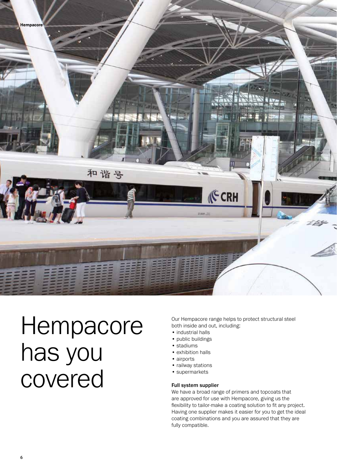![](_page_5_Picture_0.jpeg)

### Hempacore has you covered

Our Hempacore range helps to protect structural steel both inside and out, including:

- industrial halls
- public buildings
- stadiums
- exhibition halls
- airports
- railway stations
- supermarkets

### Full system supplier

We have a broad range of primers and topcoats that are approved for use with Hempacore, giving us the flexibility to tailor-make a coating solution to fit any project. Having one supplier makes it easier for you to get the ideal coating combinations and you are assured that they are fully compatible.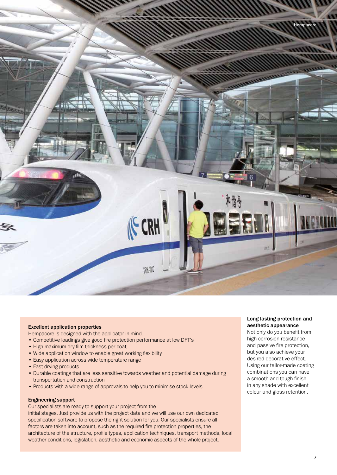![](_page_6_Picture_0.jpeg)

### Excellent application properties

Hempacore is designed with the applicator in mind.

- Competitive loadings give good fire protection performance at low DFT's
- High maximum dry film thickness per coat
- Wide application window to enable great working flexibility
- Easy application across wide temperature range
- Fast drying products
- Durable coatings that are less sensitive towards weather and potential damage during transportation and construction
- Products with a wide range of approvals to help you to minimise stock levels

### Engineering support

Our specialists are ready to support your project from the initial stages. Just provide us with the project data and we will use our own dedicated specification software to propose the right solution for you. Our specialists ensure all factors are taken into account, such as the required fire protection properties, the architecture of the structure, profile types, application techniques, transport methods, local weather conditions, legislation, aesthetic and economic aspects of the whole project.

### Long lasting protection and aesthetic appearance

Not only do you benefit from high corrosion resistance and passive fire protection, but you also achieve your desired decorative effect. Using our tailor-made coating combinations you can have a smooth and tough finish in any shade with excellent colour and gloss retention.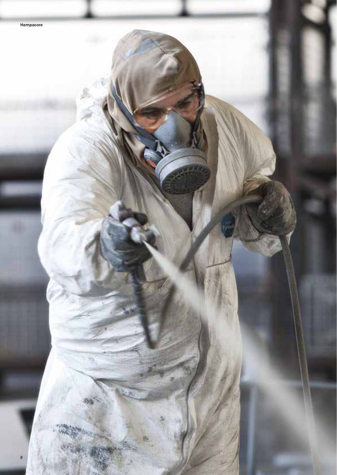8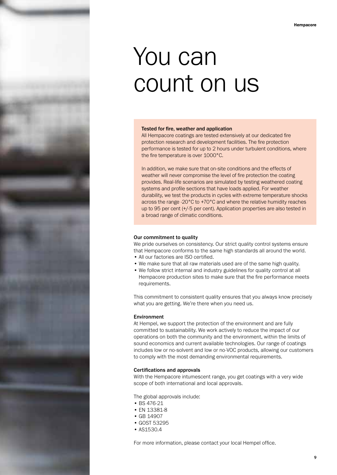### You can count on us

### Tested for fire, weather and application

All Hempacore coatings are tested extensively at our dedicated fire protection research and development facilities. The fire protection performance is tested for up to 2 hours under turbulent conditions, where the fire temperature is over 1000°C.

In addition, we make sure that on-site conditions and the effects of weather will never compromise the level of fire protection the coating provides. Real-life scenarios are simulated by testing weathered coating systems and profile sections that have loads applied. For weather durability, we test the products in cycles with extreme temperature shocks across the range -20°C to +70°C and where the relative humidity reaches up to 95 per cent (+/-5 per cent). Application properties are also tested in a broad range of climatic conditions.

### Our commitment to quality

We pride ourselves on consistency. Our strict quality control systems ensure that Hempacore conforms to the same high standards all around the world.

- All our factories are ISO certified.
- We make sure that all raw materials used are of the same high quality.
- We follow strict internal and industry guidelines for quality control at all Hempacore production sites to make sure that the fire performance meets requirements.

This commitment to consistent quality ensures that you always know precisely what you are getting. We're there when you need us.

#### Environment

At Hempel, we support the protection of the environment and are fully committed to sustainability. We work actively to reduce the impact of our operations on both the community and the environment, within the limits of sound economics and current available technologies. Our range of coatings includes low or no-solvent and low or no-VOC products, allowing our customers to comply with the most demanding environmental requirements.

### Certifications and approvals

With the Hempacore intumescent range, you get coatings with a very wide scope of both international and local approvals.

The global approvals include:

- BS 476-21
- EN 13381-8
- GB 14907
- GOST 53295
- AS1530.4

For more information, please contact your local Hempel office.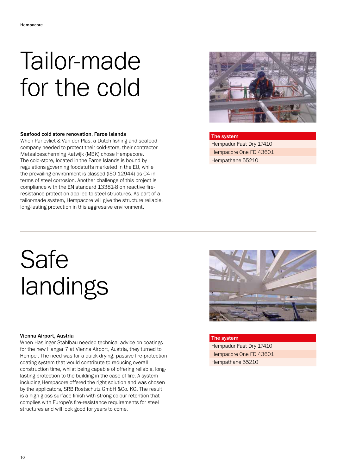# Tailor-made for the cold

#### Seafood cold store renovation, Faroe Islands

When Parlevliet & Van der Plas, a Dutch fishing and seafood company needed to protect their cold-store, their contractor Metaalbescherming Katwijk (MBK) chose Hempacore. The cold-store, located in the Faroe Islands is bound by regulations governing foodstuffs marketed in the EU, while the prevailing environment is classed (ISO 12944) as C4 in terms of steel corrosion. Another challenge of this project is compliance with the EN standard 13381-8 on reactive fireresistance protection applied to steel structures. As part of a tailor-made system, Hempacore will give the structure reliable, long-lasting protection in this aggressive environment.

![](_page_9_Picture_4.jpeg)

### The system Hempadur Fast Dry 17410 Hempacore One FD 43601

Hempathane 55210

# Safe landings

### Vienna Airport, Austria

When Haslinger Stahlbau needed technical advice on coatings for the new Hangar 7 at Vienna Airport, Austria, they turned to Hempel. The need was for a quick-drying, passive fire-protection coating system that would contribute to reducing overall construction time, whilst being capable of offering reliable, longlasting protection to the building in the case of fire. A system including Hempacore offered the right solution and was chosen by the applicators, SRB Rostschutz GmbH &Co. KG. The result is a high gloss surface finish with strong colour retention that complies with Europe's fire-resistance requirements for steel structures and will look good for years to come.

![](_page_9_Picture_10.jpeg)

The system Hempadur Fast Dry 17410 Hempacore One FD 43601 Hempathane 55210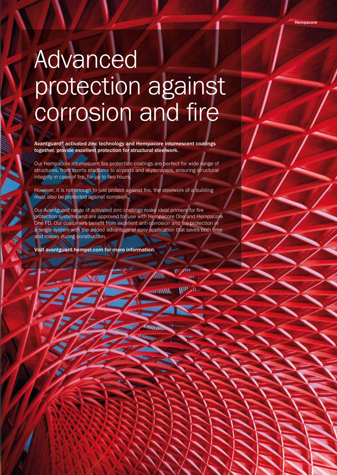## Advanced protection against corrosion and fire

Avantguard® activated zinc technology and Hempacore intumescent coatings together, provide excellent protection for structural steelwork.

Our Hempacore intumescent fire protection coatings are perfect for wide range of structures, from sports stadiums to airports and skyscrapers, ensuring structural integrity in case of fire, for up to two hours.

However, it is not enough to just protect against fire, the steelwork of a building must also be protected against corrosion.

Our Avantguard range of activated zinc coatings make ideal primers for fire protection systems and are approved for use with Hempacore One and Hempacore One FD. Our customers benefit from excellent anti-corrosion and fire protection in a single system with the added advantage of easy application that saves both time and money during construction.

Visit avantguard.hempel.com for more information.

**MINIMARY** 

**AWW**